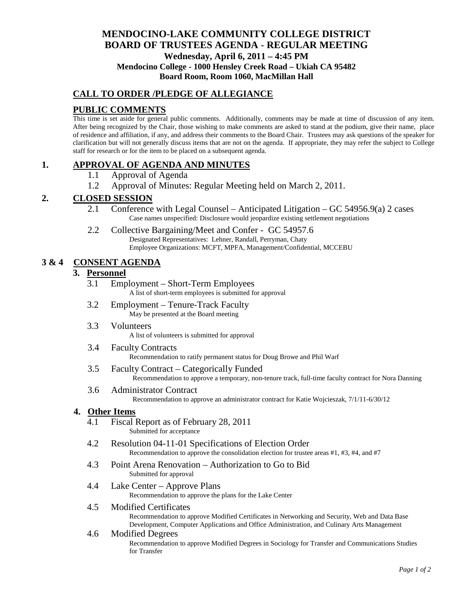# **MENDOCINO-LAKE COMMUNITY COLLEGE DISTRICT BOARD OF TRUSTEES AGENDA** - **REGULAR MEETING Wednesday, April 6, 2011 – 4:45 PM Mendocino College - 1000 Hensley Creek Road – Ukiah CA 95482 Board Room, Room 1060, MacMillan Hall**

# **CALL TO ORDER /PLEDGE OF ALLEGIANCE**

# **PUBLIC COMMENTS**

This time is set aside for general public comments. Additionally, comments may be made at time of discussion of any item. After being recognized by the Chair, those wishing to make comments are asked to stand at the podium, give their name, place of residence and affiliation, if any, and address their comments to the Board Chair. Trustees may ask questions of the speaker for clarification but will not generally discuss items that are not on the agenda. If appropriate, they may refer the subject to College staff for research or for the item to be placed on a subsequent agenda.

### **1. APPROVAL OF AGENDA AND MINUTES**

- 1.1 Approval of Agenda
- 1.2 Approval of Minutes: Regular Meeting held on March 2, 2011.

### **2. CLOSED SESSION**

- 2.1 Conference with Legal Counsel Anticipated Litigation GC 54956.9(a) 2 cases Case names unspecified: Disclosure would jeopardize existing settlement negotiations
- 2.2 Collective Bargaining/Meet and Confer GC 54957.6 Designated Representatives: Lehner, Randall, Perryman, Chaty Employee Organizations: MCFT, MPFA, Management/Confidential, MCCEBU

### **3 & 4 CONSENT AGENDA**

### **3. Personnel**

- 3.1 Employment Short-Term Employees A list of short-term employees is submitted for approval
- 3.2 Employment Tenure-Track Faculty May be presented at the Board meeting
- 3.3 Volunteers A list of volunteers is submitted for approval
- 3.4 Faculty Contracts Recommendation to ratify permanent status for Doug Browe and Phil Warf
- 3.5 Faculty Contract Categorically Funded Recommendation to approve a temporary, non-tenure track, full-time faculty contract for Nora Danning
- 3.6 Administrator Contract Recommendation to approve an administrator contract for Katie Wojcieszak, 7/1/11-6/30/12

#### **4. Other Items**

- 4.1 Fiscal Report as of February 28, 2011 Submitted for acceptance
- 4.2 Resolution 04-11-01 Specifications of Election Order Recommendation to approve the consolidation election for trustee areas #1, #3, #4, and #7
- 4.3 Point Arena Renovation Authorization to Go to Bid Submitted for approval
- 4.4 Lake Center Approve Plans Recommendation to approve the plans for the Lake Center

#### 4.5 Modified Certificates

Recommendation to approve Modified Certificates in Networking and Security, Web and Data Base Development, Computer Applications and Office Administration, and Culinary Arts Management

### 4.6 Modified Degrees

Recommendation to approve Modified Degrees in Sociology for Transfer and Communications Studies for Transfer